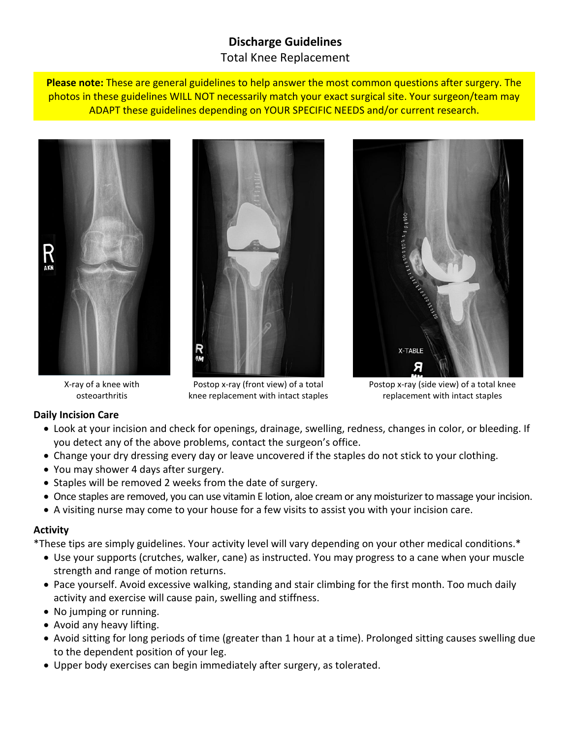# **Discharge Guidelines** Total Knee Replacement

**Please note:** These are general guidelines to help answer the most common questions after surgery. The photos in these guidelines WILL NOT necessarily match your exact surgical site. Your surgeon/team may ADAPT these guidelines depending on YOUR SPECIFIC NEEDS and/or current research.







X-ray of a knee with osteoarthritis

Postop x-ray (front view) of a total knee replacement with intact staples

Postop x-ray (side view) of a total knee replacement with intact staples

## **Daily Incision Care**

- Look at your incision and check for openings, drainage, swelling, redness, changes in color, or bleeding. If you detect any of the above problems, contact the surgeon's office.
- Change your dry dressing every day or leave uncovered if the staples do not stick to your clothing.
- You may shower 4 days after surgery.
- Staples will be removed 2 weeks from the date of surgery.
- Once staples are removed, you can use vitamin E lotion, aloe cream or any moisturizer to massage your incision.
- A visiting nurse may come to your house for a few visits to assist you with your incision care.

## **Activity**

\*These tips are simply guidelines. Your activity level will vary depending on your other medical conditions.\*

- Use your supports (crutches, walker, cane) as instructed. You may progress to a cane when your muscle strength and range of motion returns.
- Pace yourself. Avoid excessive walking, standing and stair climbing for the first month. Too much daily activity and exercise will cause pain, swelling and stiffness.
- No jumping or running.
- Avoid any heavy lifting.
- Avoid sitting for long periods of time (greater than 1 hour at a time). Prolonged sitting causes swelling due to the dependent position of your leg.
- Upper body exercises can begin immediately after surgery, as tolerated.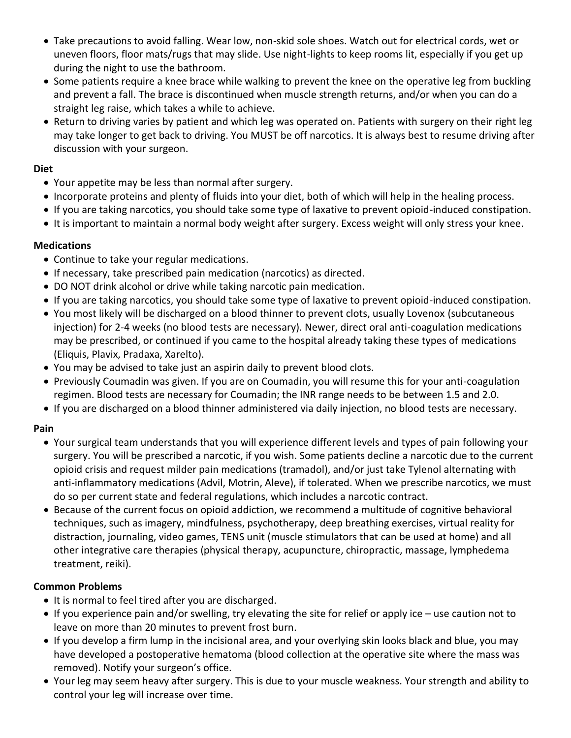- Take precautions to avoid falling. Wear low, non-skid sole shoes. Watch out for electrical cords, wet or uneven floors, floor mats/rugs that may slide. Use night-lights to keep rooms lit, especially if you get up during the night to use the bathroom.
- Some patients require a knee brace while walking to prevent the knee on the operative leg from buckling and prevent a fall. The brace is discontinued when muscle strength returns, and/or when you can do a straight leg raise, which takes a while to achieve.
- Return to driving varies by patient and which leg was operated on. Patients with surgery on their right leg may take longer to get back to driving. You MUST be off narcotics. It is always best to resume driving after discussion with your surgeon.

#### **Diet**

- Your appetite may be less than normal after surgery.
- Incorporate proteins and plenty of fluids into your diet, both of which will help in the healing process.
- If you are taking narcotics, you should take some type of laxative to prevent opioid-induced constipation.
- It is important to maintain a normal body weight after surgery. Excess weight will only stress your knee.

### **Medications**

- Continue to take your regular medications.
- If necessary, take prescribed pain medication (narcotics) as directed.
- DO NOT drink alcohol or drive while taking narcotic pain medication.
- If you are taking narcotics, you should take some type of laxative to prevent opioid-induced constipation.
- You most likely will be discharged on a blood thinner to prevent clots, usually Lovenox (subcutaneous injection) for 2-4 weeks (no blood tests are necessary). Newer, direct oral anti-coagulation medications may be prescribed, or continued if you came to the hospital already taking these types of medications (Eliquis, Plavix, Pradaxa, Xarelto).
- You may be advised to take just an aspirin daily to prevent blood clots.
- Previously Coumadin was given. If you are on Coumadin, you will resume this for your anti-coagulation regimen. Blood tests are necessary for Coumadin; the INR range needs to be between 1.5 and 2.0.
- If you are discharged on a blood thinner administered via daily injection, no blood tests are necessary.

## **Pain**

- Your surgical team understands that you will experience different levels and types of pain following your surgery. You will be prescribed a narcotic, if you wish. Some patients decline a narcotic due to the current opioid crisis and request milder pain medications (tramadol), and/or just take Tylenol alternating with anti-inflammatory medications (Advil, Motrin, Aleve), if tolerated. When we prescribe narcotics, we must do so per current state and federal regulations, which includes a narcotic contract.
- Because of the current focus on opioid addiction, we recommend a multitude of cognitive behavioral techniques, such as imagery, mindfulness, psychotherapy, deep breathing exercises, virtual reality for distraction, journaling, video games, TENS unit (muscle stimulators that can be used at home) and all other integrative care therapies (physical therapy, acupuncture, chiropractic, massage, lymphedema treatment, reiki).

#### **Common Problems**

- It is normal to feel tired after you are discharged.
- If you experience pain and/or swelling, try elevating the site for relief or apply ice use caution not to leave on more than 20 minutes to prevent frost burn.
- If you develop a firm lump in the incisional area, and your overlying skin looks black and blue, you may have developed a postoperative hematoma (blood collection at the operative site where the mass was removed). Notify your surgeon's office.
- Your leg may seem heavy after surgery. This is due to your muscle weakness. Your strength and ability to control your leg will increase over time.